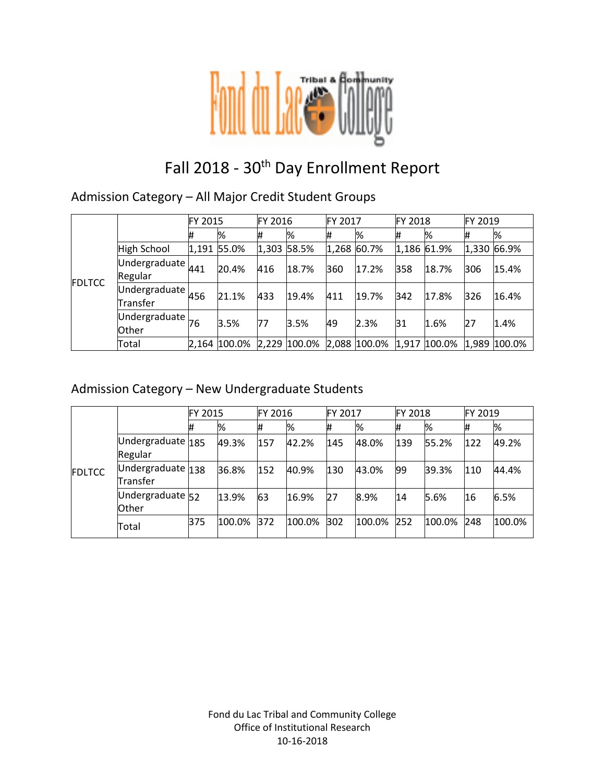

# Fall 2018 - 30<sup>th</sup> Day Enrollment Report

#### Admission Category – All Major Credit Student Groups

|               |                                          | FY 2015 |              | FY 2016     |              | FY 2017     |              | <b>FY 2018</b> |              | FY 2019 |              |
|---------------|------------------------------------------|---------|--------------|-------------|--------------|-------------|--------------|----------------|--------------|---------|--------------|
|               |                                          | #       | %            | #           | %            | #           | %            | #              | %            | #       | %            |
| <b>FDLTCC</b> | <b>High School</b>                       |         | 1,191 55.0%  | 1,303 58.5% |              | 1,268 60.7% |              |                | 1,186 61.9%  |         | 1,330 66.9%  |
|               | Undergraduate $441$<br>Regular           |         | 20.4%        | 416         | 18.7%        | 360         | 17.2%        | 358            | 18.7%        | 306     | 15.4%        |
|               | Undergraduate $456$<br>Transfer          |         | 21.1%        | 433         | 19.4%        | 411         | 19.7%        | 342            | 17.8%        | 326     | 16.4%        |
|               | Undergraduate $\vert$ 76<br><b>Other</b> |         | 3.5%         | 77          | 3.5%         | 49          | 2.3%         | 31             | 1.6%         | 27      | 1.4%         |
|               | Total                                    |         | 2,164 100.0% |             | 2,229 100.0% |             | 2,088 100.0% |                | 1,917 100.0% |         | 1,989 100.0% |

#### Admission Category – New Undergraduate Students

|               |                               | FY 2015    |        | <b>FY 2016</b> |        | FY 2017 |        | FY 2018 |        | FY 2019 |        |
|---------------|-------------------------------|------------|--------|----------------|--------|---------|--------|---------|--------|---------|--------|
| <b>FDLTCC</b> |                               | #          | %      | Ħ              | %      | #       | %      | #       | %      | #       | %      |
|               | Undergraduate 185<br>Regular  |            | 49.3%  | 157            | 42.2%  | 145     | 48.0%  | 139     | 55.2%  | 122     | 49.2%  |
|               | Undergraduate 138<br>Transfer |            | 36.8%  | 152            | 40.9%  | 130     | 43.0%  | 99      | 39.3%  | 110     | 44.4%  |
|               | Undergraduate 52<br>Other     |            | 13.9%  | 63             | 16.9%  | 27      | 8.9%   | 14      | 5.6%   | 16      | 6.5%   |
|               | Total                         | <b>B75</b> | 100.0% | 372            | 100.0% | 302     | 100.0% | 252     | 100.0% | 248     | 100.0% |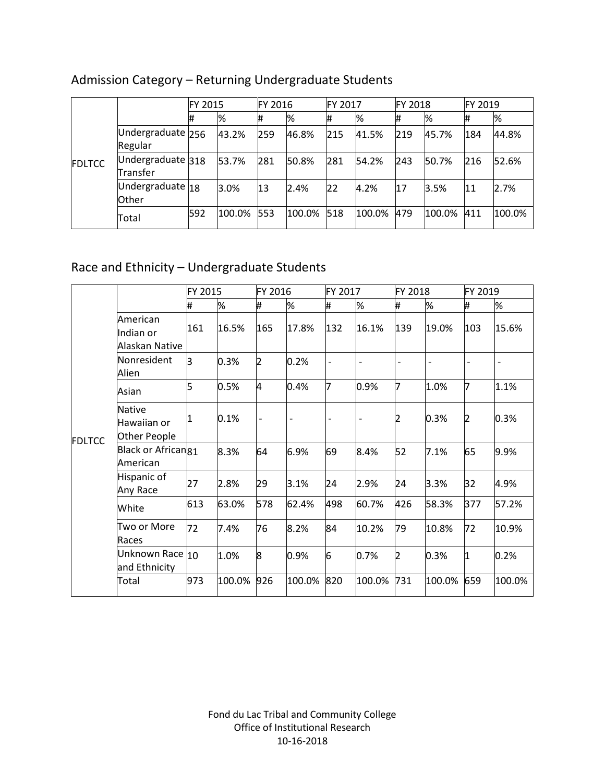|               |                                 | <b>FY 2015</b> |        | <b>FY 2016</b> |        | FY 2017 |        | <b>FY 2018</b> |        | FY 2019 |        |
|---------------|---------------------------------|----------------|--------|----------------|--------|---------|--------|----------------|--------|---------|--------|
| <b>FDLTCC</b> |                                 | 1#             | %      |                | %      | #       | %      | #              | %      |         | %      |
|               | Undergraduate 256<br>Regular    |                | 43.2%  | 259            | 46.8%  | 215     | 41.5%  | 219            | 45.7%  | 184     | 44.8%  |
|               | Undergraduate $318$<br>Transfer |                | 53.7%  | 281            | 50.8%  | 281     | 54.2%  | 243            | 50.7%  | 216     | 52.6%  |
|               | Undergraduate 18<br>Other       |                | 3.0%   | 13             | 2.4%   | 22      | 4.2%   | 17             | 3.5%   | 11      | 2.7%   |
|               | Total                           | 592            | 100.0% | 553            | 100.0% | 518     | 100.0% | 479            | 100.0% | 411     | 100.0% |

## Admission Category – Returning Undergraduate Students

## Race and Ethnicity – Undergraduate Students

|               |                                              | FY 2015 |        | FY 2016                  |                | FY 2017 |                          | FY 2018 |        | FY 2019                  |        |
|---------------|----------------------------------------------|---------|--------|--------------------------|----------------|---------|--------------------------|---------|--------|--------------------------|--------|
|               |                                              | #       | %      | #                        | %              | #       | %                        | #       | %      | #                        | %      |
| <b>FDLTCC</b> | American<br>Indian or<br>Alaskan Native      | 161     | 16.5%  | 165                      | 17.8%          | 132     | 16.1%                    | 139     | 19.0%  | 103                      | 15.6%  |
|               | Nonresident<br>Alien                         | l3      | 0.3%   | 2                        | 0.2%           |         | $\overline{\phantom{0}}$ |         |        | $\overline{\phantom{a}}$ |        |
|               | Asian                                        | 5       | 0.5%   | 4                        | 0.4%           | 7       | 0.9%                     | 17      | 1.0%   | 7                        | 1.1%   |
|               | <b>Native</b><br>Hawaiian or<br>Other People |         | 0.1%   | $\overline{\phantom{a}}$ | $\overline{a}$ |         | $\overline{\phantom{a}}$ | 2       | 0.3%   | 2                        | 0.3%   |
|               | Black or African <sub>81</sub><br>American   |         | 8.3%   | 64                       | 6.9%           | 69      | 8.4%                     | 52      | 7.1%   | 65                       | 9.9%   |
|               | Hispanic of<br>Any Race                      | 27      | 2.8%   | 29                       | 3.1%           | 24      | 2.9%                     | 24      | 3.3%   | 32                       | 4.9%   |
|               | White                                        | 613     | 63.0%  | 578                      | 62.4%          | 498     | 60.7%                    | 426     | 58.3%  | 377                      | 57.2%  |
|               | Two or More<br>Races                         | 72      | 7.4%   | 76                       | 8.2%           | 84      | 10.2%                    | 79      | 10.8%  | 72                       | 10.9%  |
|               | Unknown Race 10<br>and Ethnicity             |         | 1.0%   | 8                        | 0.9%           | 6       | 0.7%                     | 2       | 0.3%   | $\overline{1}$           | 0.2%   |
|               | Total                                        | 973     | 100.0% | 926                      | 100.0%         | 820     | 100.0%                   | 731     | 100.0% | 659                      | 100.0% |